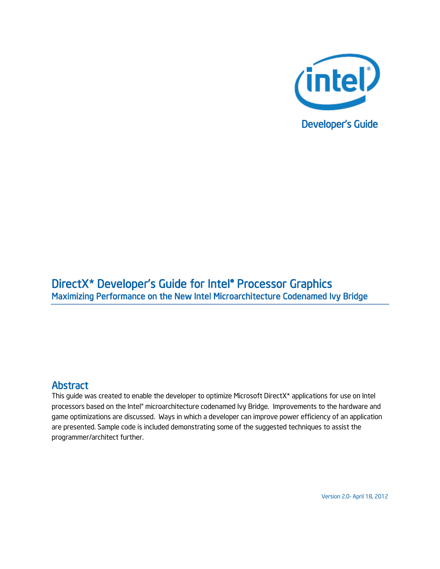

# DirectX\* Developer's Guide for Intel® Processor Graphics Maximizing Performance on the New Intel Microarchitecture Codenamed Ivy Bridge

# **Abstract**

This guide was created to enable the developer to optimize Microsoft DirectX\* applications for use on Intel processors based on the Intel® microarchitecture codenamed Ivy Bridge. Improvements to the hardware and game optimizations are discussed. Ways in which a developer can improve power efficiency of an application are presented. Sample code is included demonstrating some of the suggested techniques to assist the programmer/architect further.

Version 2.0- April 18, 2012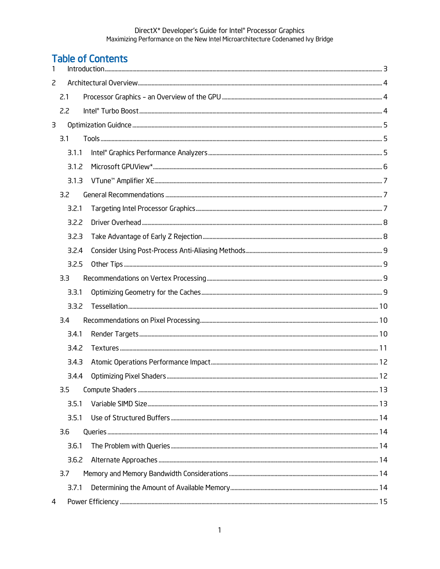# DirectX\* Developer's Guide for Intel® Processor Graphics<br>Maximizing Performance on the New Intel Microarchitecture Codenamed Ivy Bridge

# **Table of Contents**

| 1              |       |  |  |  |
|----------------|-------|--|--|--|
| $\overline{c}$ |       |  |  |  |
|                | 2.1   |  |  |  |
|                | 2.2   |  |  |  |
| 3              |       |  |  |  |
|                | 3.1   |  |  |  |
|                | 3.1.1 |  |  |  |
|                | 3.1.2 |  |  |  |
|                | 3.1.3 |  |  |  |
|                | 3.2   |  |  |  |
|                | 3.2.1 |  |  |  |
|                | 3.2.2 |  |  |  |
|                | 3.2.3 |  |  |  |
|                | 3.2.4 |  |  |  |
|                | 3.2.5 |  |  |  |
|                | 3.3   |  |  |  |
|                | 3.3.1 |  |  |  |
|                | 3.3.2 |  |  |  |
|                | 3.4   |  |  |  |
|                | 3.4.1 |  |  |  |
|                | 3.4.2 |  |  |  |
|                | 3.4.3 |  |  |  |
|                | 3.4.4 |  |  |  |
|                | 3.5   |  |  |  |
|                | 3.5.1 |  |  |  |
|                | 3.5.1 |  |  |  |
|                | 3.6   |  |  |  |
|                | 3.6.1 |  |  |  |
|                | 3.6.2 |  |  |  |
|                | 3.7   |  |  |  |
|                | 3.7.1 |  |  |  |
| 4              |       |  |  |  |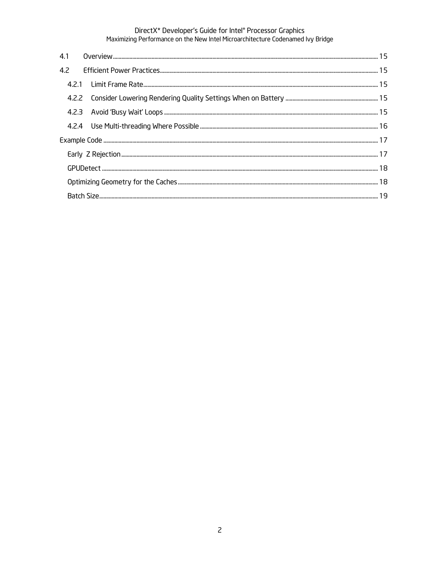# DirectX\* Developer's Guide for Intel® Processor Graphics<br>Maximizing Performance on the New Intel Microarchitecture Codenamed Ivy Bridge

| 4.1 |  |  |  |  |  |
|-----|--|--|--|--|--|
| 4.2 |  |  |  |  |  |
|     |  |  |  |  |  |
|     |  |  |  |  |  |
|     |  |  |  |  |  |
|     |  |  |  |  |  |
|     |  |  |  |  |  |
|     |  |  |  |  |  |
|     |  |  |  |  |  |
|     |  |  |  |  |  |
|     |  |  |  |  |  |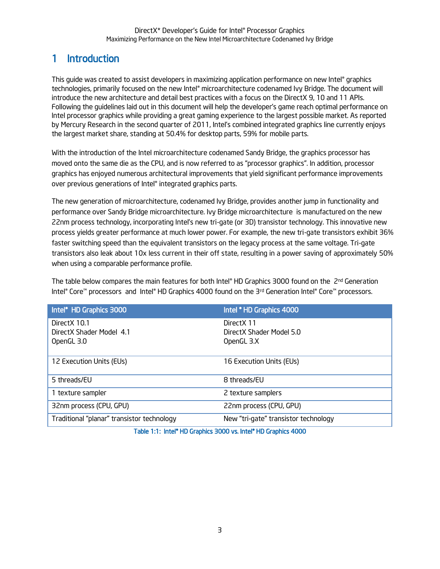# <span id="page-3-0"></span>1 Introduction

This guide was created to assist developers in maximizing application performance on new Intel® graphics technologies, primarily focused on the new Intel® microarchitecture codenamed Ivy Bridge. The document will introduce the new architecture and detail best practices with a focus on the DirectX 9, 10 and 11 APIs. Following the guidelines laid out in this document will help the developer's game reach optimal performance on Intel processor graphics while providing a great gaming experience to the largest possible market. As reported by Mercury Research in the second quarter of 2011, Intel's combined integrated graphics line currently enjoys the largest market share, standing at 50.4% for desktop parts, 59% for mobile parts.

With the introduction of the Intel microarchitecture codenamed Sandy Bridge, the graphics processor has moved onto the same die as the CPU, and is now referred to as "processor graphics". In addition, processor graphics has enjoyed numerous architectural improvements that yield significant performance improvements over previous generations of Intel® integrated graphics parts.

The new generation of microarchitecture, codenamed Ivy Bridge, provides another jump in functionality and performance over Sandy Bridge microarchitecture. Ivy Bridge microarchitecture is manufactured on the new 22nm process technology, incorporating Intel's new tri-gate (or 3D) transistor technology. This innovative new process yields greater performance at much lower power. For example, the new tri-gate transistors exhibit 36% faster switching speed than the equivalent transistors on the legacy process at the same voltage. Tri-gate transistors also leak about 10x less current in their off state, resulting in a power saving of approximately 50% when using a comparable performance profile.

The table below compares the main features for both Intel® HD Graphics 3000 found on the 2<sup>nd</sup> Generation Intel® Core™ processors and Intel® HD Graphics 4000 found on the 3<sup>rd</sup> Generation Intel® Core™ processors.

| Intel <sup>®</sup> HD Graphics 3000                    | Intel • HD Graphics 4000                             |
|--------------------------------------------------------|------------------------------------------------------|
| DirectX 10.1<br>DirectX Shader Model 4.1<br>OpenGL 3.0 | DirectX 11<br>DirectX Shader Model 5.0<br>OpenGL 3.X |
| 12 Execution Units (EUs)                               | 16 Execution Units (EUs)                             |
| 5 threads/EU                                           | 8 threads/EU                                         |
| 1 texture sampler                                      | 2 texture samplers                                   |
| 32nm process (CPU, GPU)                                | 22nm process (CPU, GPU)                              |
| Traditional "planar" transistor technology             | New "tri-gate" transistor technology                 |

Table 1:1: Intel® HD Graphics 3000 vs. Intel® HD Graphics 4000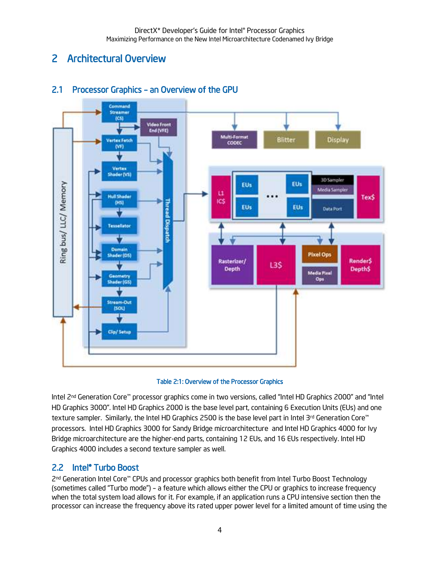# <span id="page-4-0"></span>2 Architectural Overview



# <span id="page-4-1"></span>2.1 Processor Graphics – an Overview of the GPU

Table 2:1: Overview of the Processor Graphics

Intel 2nd Generation Core™ processor graphics come in two versions, called "Intel HD Graphics 2000" and "Intel HD Graphics 3000". Intel HD Graphics 2000 is the base level part, containing 6 Execution Units (EUs) and one texture sampler. Similarly, the Intel HD Graphics 2500 is the base level part in Intel 3rd Generation Core™ processors. Intel HD Graphics 3000 for Sandy Bridge microarchitecture and Intel HD Graphics 4000 for Ivy Bridge microarchitecture are the higher-end parts, containing 12 EUs, and 16 EUs respectively. Intel HD Graphics 4000 includes a second texture sampler as well.

# <span id="page-4-2"></span>2.2 Intel® Turbo Boost

2<sup>nd</sup> Generation Intel Core™ CPUs and processor graphics both benefit from Intel Turbo Boost Technology (sometimes called "Turbo mode") – a feature which allows either the CPU or graphics to increase frequency when the total system load allows for it. For example, if an application runs a CPU intensive section then the processor can increase the frequency above its rated upper power level for a limited amount of time using the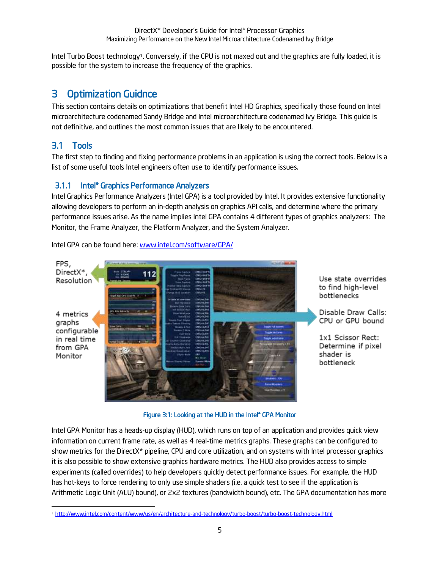Intel Turbo Boost technology1. Conversely, if the CPU is not maxed out and the graphics are fully loaded, it is possible for the system to increase the frequency of the graphics.

# <span id="page-5-0"></span>3 Optimization Guidnce

This section contains details on optimizations that benefit Intel HD Graphics, specifically those found on Intel microarchitecture codenamed Sandy Bridge and Intel microarchitecture codenamed Ivy Bridge. This guide is not definitive, and outlines the most common issues that are likely to be encountered.

# <span id="page-5-1"></span>3.1 Tools

 $\overline{a}$ 

The first step to finding and fixing performance problems in an application is using the correct tools. Below is a list of some useful tools Intel engineers often use to identify performance issues.

# <span id="page-5-2"></span>3.1.1 Intel® Graphics Performance Analyzers

Intel Graphics Performance Analyzers (Intel GPA) is a tool provided by Intel. It provides extensive functionality allowing developers to perform an in-depth analysis on graphics API calls, and determine where the primary performance issues arise. As the name implies Intel GPA contains 4 different types of graphics analyzers: The Monitor, the Frame Analyzer, the Platform Analyzer, and the System Analyzer.



Intel GPA can be found here: [www.intel.com/software/GPA/](http://www.intel.com/software/GPA/)

Figure 3:1: Looking at the HUD in the Intel® GPA Monitor

Intel GPA Monitor has a heads-up display (HUD), which runs on top of an application and provides quick view information on current frame rate, as well as 4 real-time metrics graphs. These graphs can be configured to show metrics for the DirectX\* pipeline, CPU and core utilization, and on systems with Intel processor graphics it is also possible to show extensive graphics hardware metrics. The HUD also provides access to simple experiments (called overrides) to help developers quickly detect performance issues. For example, the HUD has hot-keys to force rendering to only use simple shaders (i.e. a quick test to see if the application is Arithmetic Logic Unit (ALU) bound), or 2x2 textures (bandwidth bound), etc. The GPA documentation has more

<sup>1</sup> <http://www.intel.com/content/www/us/en/architecture-and-technology/turbo-boost/turbo-boost-technology.html>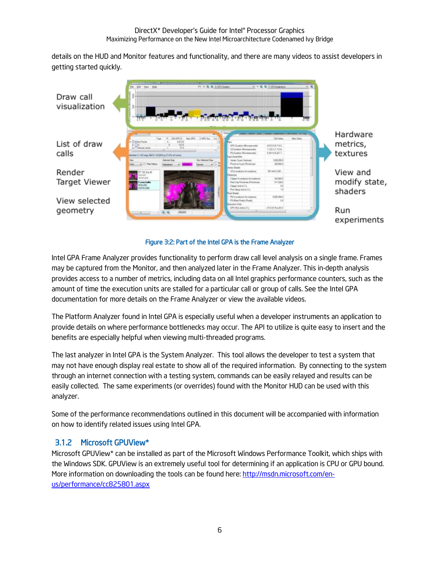details on the HUD and Monitor features and functionality, and there are many videos to assist developers in getting started quickly.



#### Figure 3:2: Part of the Intel GPA is the Frame Analyzer

Intel GPA Frame Analyzer provides functionality to perform draw call level analysis on a single frame. Frames may be captured from the Monitor, and then analyzed later in the Frame Analyzer. This in-depth analysis provides access to a number of metrics, including data on all Intel graphics performance counters, such as the amount of time the execution units are stalled for a particular call or group of calls. See the Intel GPA documentation for more details on the Frame Analyzer or view the available videos.

The Platform Analyzer found in Intel GPA is especially useful when a developer instruments an application to provide details on where performance bottlenecks may occur. The API to utilize is quite easy to insert and the benefits are especially helpful when viewing multi-threaded programs.

The last analyzer in Intel GPA is the System Analyzer. This tool allows the developer to test a system that may not have enough display real estate to show all of the required information. By connecting to the system through an internet connection with a testing system, commands can be easily relayed and results can be easily collected. The same experiments (or overrides) found with the Monitor HUD can be used with this analyzer.

Some of the performance recommendations outlined in this document will be accompanied with information on how to identify related issues using Intel GPA.

#### <span id="page-6-0"></span>3.1.2 Microsoft GPUView\*

Microsoft GPUView\* can be installed as part of the Microsoft Windows Performance Toolkit, which ships with the Windows SDK. GPUView is an extremely useful tool for determining if an application is CPU or GPU bound. More information on downloading the tools can be found here: [http://msdn.microsoft.com/en](http://msdn.microsoft.com/en-us/performance/cc825801.aspx)[us/performance/cc825801.aspx](http://msdn.microsoft.com/en-us/performance/cc825801.aspx)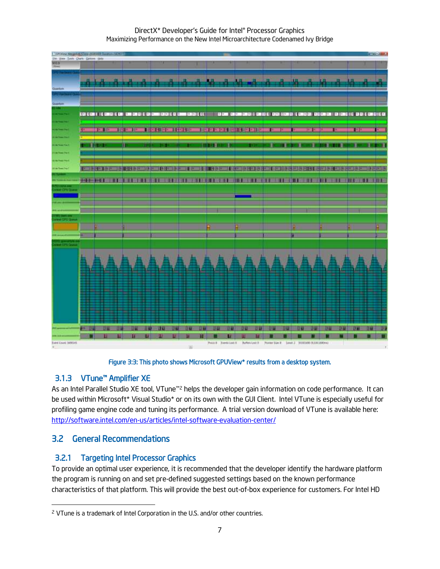DirectX\* Developer's Guide for Intel® Processor Graphics Maximizing Performance on the New Intel Microarchitecture Codenamed Ivy Bridge



Figure 3:3: This photo shows Microsoft GPUView\* results from a desktop system.

# <span id="page-7-0"></span>3.1.3 VTune™ Amplifier XE

As an Intel Parallel Studio XE tool, VTune™<sup>2</sup> helps the developer gain information on code performance. It can be used within Microsoft\* Visual Studio\* or on its own with the GUI Client. Intel VTune is especially useful for profiling game engine code and tuning its performance. A trial version download of VTune is available here: <http://software.intel.com/en-us/articles/intel-software-evaluation-center/>

# <span id="page-7-1"></span>3.2 General Recommendations

 $\overline{a}$ 

# <span id="page-7-2"></span>3.2.1 Targeting Intel Processor Graphics

To provide an optimal user experience, it is recommended that the developer identify the hardware platform the program is running on and set pre-defined suggested settings based on the known performance characteristics of that platform. This will provide the best out-of-box experience for customers. For Intel HD

<sup>2</sup> VTune is a trademark of Intel Corporation in the U.S. and/or other countries.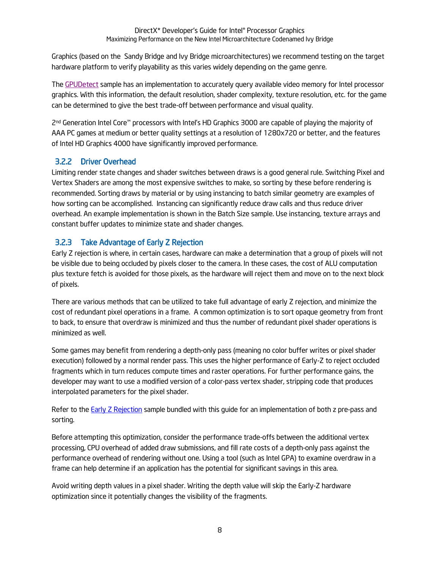Graphics (based on the Sandy Bridge and Ivy Bridge microarchitectures) we recommend testing on the target hardware platform to verify playability as this varies widely depending on the game genre.

The [GPUDetect](#page-18-2) sample has an implementation to accurately query available video memory for Intel processor graphics. With this information, the default resolution, shader complexity, texture resolution, etc. for the game can be determined to give the best trade-off between performance and visual quality.

2<sup>nd</sup> Generation Intel Core<sup>™</sup> processors with Intel's HD Graphics 3000 are capable of playing the majority of AAA PC games at medium or better quality settings at a resolution of 1280x720 or better, and the features of Intel HD Graphics 4000 have significantly improved performance.

# <span id="page-8-0"></span>3.2.2 Driver Overhead

Limiting render state changes and shader switches between draws is a good general rule. Switching Pixel and Vertex Shaders are among the most expensive switches to make, so sorting by these before rendering is recommended. Sorting draws by material or by using instancing to batch similar geometry are examples of how sorting can be accomplished. Instancing can significantly reduce draw calls and thus reduce driver overhead. An example implementation is shown in the Batch Size sample. Use instancing, texture arrays and constant buffer updates to minimize state and shader changes.

# <span id="page-8-1"></span>3.2.3 Take Advantage of Early Z Rejection

Early Z rejection is where, in certain cases, hardware can make a determination that a group of pixels will not be visible due to being occluded by pixels closer to the camera. In these cases, the cost of ALU computation plus texture fetch is avoided for those pixels, as the hardware will reject them and move on to the next block of pixels.

There are various methods that can be utilized to take full advantage of early Z rejection, and minimize the cost of redundant pixel operations in a frame. A common optimization is to sort opaque geometry from front to back, to ensure that overdraw is minimized and thus the number of redundant pixel shader operations is minimized as well.

Some games may benefit from rendering a depth-only pass (meaning no color buffer writes or pixel shader execution) followed by a normal render pass. This uses the higher performance of Early-Z to reject occluded fragments which in turn reduces compute times and raster operations. For further performance gains, the developer may want to use a modified version of a color-pass vertex shader, stripping code that produces interpolated parameters for the pixel shader.

Refer to th[e Early Z Rejection](#page-17-1) sample bundled with this guide for an implementation of both z pre-pass and sorting.

Before attempting this optimization, consider the performance trade-offs between the additional vertex processing, CPU overhead of added draw submissions, and fill rate costs of a depth-only pass against the performance overhead of rendering without one. Using a tool (such as Intel GPA) to examine overdraw in a frame can help determine if an application has the potential for significant savings in this area.

Avoid writing depth values in a pixel shader. Writing the depth value will skip the Early-Z hardware optimization since it potentially changes the visibility of the fragments.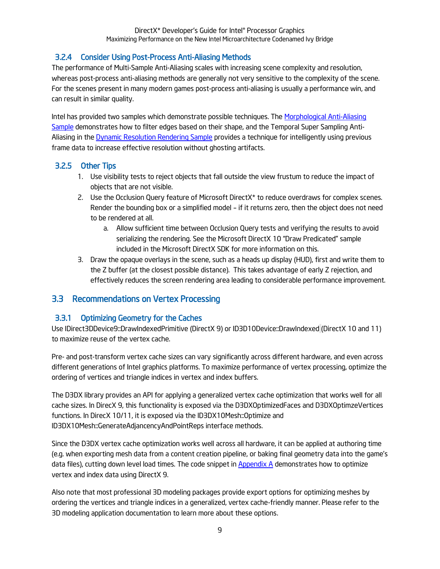# <span id="page-9-0"></span>3.2.4 Consider Using Post-Process Anti-Aliasing Methods

The performance of Multi-Sample Anti-Aliasing scales with increasing scene complexity and resolution, whereas post-process anti-aliasing methods are generally not very sensitive to the complexity of the scene. For the scenes present in many modern games post-process anti-aliasing is usually a performance win, and can result in similar quality.

Intel has provided two samples which demonstrate possible techniques. The [Morphological Anti-Aliasing](http://software.intel.com/en-us/articles/vcsource-samples-morphological-antialiasing-mlaa/)  [Sample](http://software.intel.com/en-us/articles/vcsource-samples-morphological-antialiasing-mlaa/) demonstrates how to filter edges based on their shape, and the Temporal Super Sampling Anti-Aliasing in the **Dynamic Resolution Rendering Sample** provides a technique for intelligently using previous frame data to increase effective resolution without ghosting artifacts.

# <span id="page-9-1"></span>3.2.5 Other Tips

- 1. Use visibility tests to reject objects that fall outside the view frustum to reduce the impact of objects that are not visible.
- 2. Use the Occlusion Query feature of Microsoft DirectX\* to reduce overdraws for complex scenes. Render the bounding box or a simplified model – if it returns zero, then the object does not need to be rendered at all.
	- a. Allow sufficient time between Occlusion Query tests and verifying the results to avoid serializing the rendering. See the Microsoft DirectX 10 "Draw Predicated" sample included in the Microsoft DirectX SDK for more information on this.
- 3. Draw the opaque overlays in the scene, such as a heads up display (HUD), first and write them to the Z buffer (at the closest possible distance). This takes advantage of early Z rejection, and effectively reduces the screen rendering area leading to considerable performance improvement.

# <span id="page-9-2"></span>3.3 Recommendations on Vertex Processing

# <span id="page-9-3"></span>3.3.1 Optimizing Geometry for the Caches

Use IDirect3DDevice9::DrawIndexedPrimitive (DirectX 9) or ID3D10Device::DrawIndexed (DirectX 10 and 11) to maximize reuse of the vertex cache.

Pre- and post-transform vertex cache sizes can vary significantly across different hardware, and even across different generations of Intel graphics platforms. To maximize performance of vertex processing, optimize the ordering of vertices and triangle indices in vertex and index buffers.

The D3DX library provides an API for applying a generalized vertex cache optimization that works well for all cache sizes. In DirecX 9, this functionality is exposed via the D3DXOptimizedFaces and D3DXOptimzeVertices functions. In DirecX 10/11, it is exposed via the ID3DX10Mesh::Optimize and ID3DX10Mesh::GenerateAdjancencyAndPointReps interface methods.

Since the D3DX vertex cache optimization works well across all hardware, it can be applied at authoring time (e.g. when exporting mesh data from a content creation pipeline, or baking final geometry data into the game's data files), cutting down level load times. The code snippet in  $Appendix A$  demonstrates how to optimize vertex and index data using DirectX 9.

Also note that most professional 3D modeling packages provide export options for optimizing meshes by ordering the vertices and triangle indices in a generalized, vertex cache-friendly manner. Please refer to the 3D modeling application documentation to learn more about these options.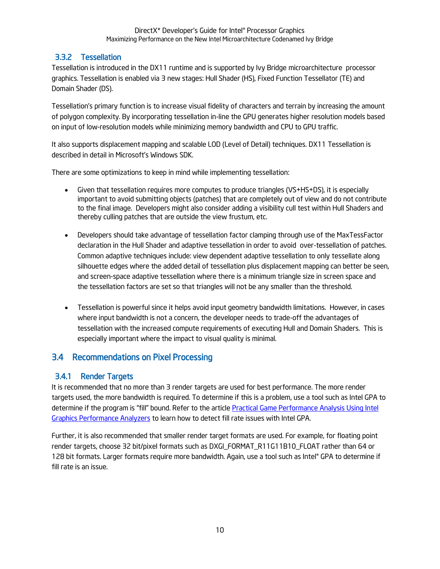#### DirectX\* Developer's Guide for Intel® Processor Graphics Maximizing Performance on the New Intel Microarchitecture Codenamed Ivy Bridge

#### <span id="page-10-0"></span>3.3.2 Tessellation

Tessellation is introduced in the DX11 runtime and is supported by Ivy Bridge microarchitecture processor graphics. Tessellation is enabled via 3 new stages: Hull Shader (HS), Fixed Function Tessellator (TE) and Domain Shader (DS).

Tessellation's primary function is to increase visual fidelity of characters and terrain by increasing the amount of polygon complexity. By incorporating tessellation in-line the GPU generates higher resolution models based on input of low-resolution models while minimizing memory bandwidth and CPU to GPU traffic.

It also supports displacement mapping and scalable LOD (Level of Detail) techniques. DX11 Tessellation is described in detail in Microsoft's Windows SDK.

There are some optimizations to keep in mind while implementing tessellation:

- Given that tessellation requires more computes to produce triangles (VS+HS+DS), it is especially important to avoid submitting objects (patches) that are completely out of view and do not contribute to the final image. Developers might also consider adding a visibility cull test within Hull Shaders and thereby culling patches that are outside the view frustum, etc.
- Developers should take advantage of tessellation factor clamping through use of the MaxTessFactor declaration in the Hull Shader and adaptive tessellation in order to avoid over-tessellation of patches. Common adaptive techniques include: view dependent adaptive tessellation to only tessellate along silhouette edges where the added detail of tessellation plus displacement mapping can better be seen, and screen-space adaptive tessellation where there is a minimum triangle size in screen space and the tessellation factors are set so that triangles will not be any smaller than the threshold.
- Tessellation is powerful since it helps avoid input geometry bandwidth limitations. However, in cases where input bandwidth is not a concern, the developer needs to trade-off the advantages of tessellation with the increased compute requirements of executing Hull and Domain Shaders. This is especially important where the impact to visual quality is minimal.

# <span id="page-10-1"></span>3.4 Recommendations on Pixel Processing

# <span id="page-10-2"></span>3.4.1 Render Targets

It is recommended that no more than 3 render targets are used for best performance. The more render targets used, the more bandwidth is required. To determine if this is a problem, use a tool such as Intel GPA to determine if the program is "fill" bound. Refer to the article [Practical Game Performance Analysis Using Intel](http://software.intel.com/en-us/articles/practical-game-performance-analysis-using-intel-graphics-performance-analyzers/)  [Graphics Performance Analyzers](http://software.intel.com/en-us/articles/practical-game-performance-analysis-using-intel-graphics-performance-analyzers/) to learn how to detect fill rate issues with Intel GPA.

Further, it is also recommended that smaller render target formats are used. For example, for floating point render targets, choose 32 bit/pixel formats such as DXGI\_FORMAT\_R11G11B10\_FLOAT rather than 64 or 128 bit formats. Larger formats require more bandwidth. Again, use a tool such as Intel® GPA to determine if fill rate is an issue.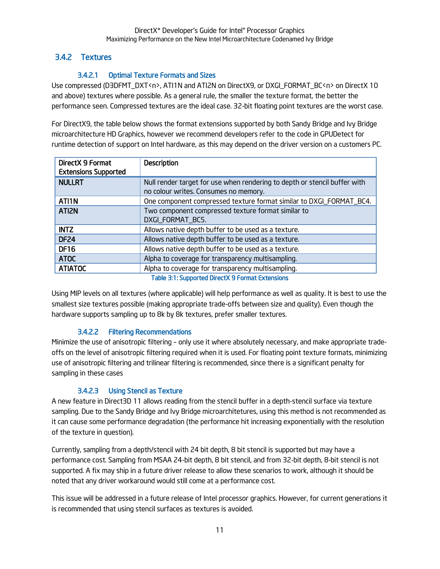# <span id="page-11-0"></span>3.4.2 Textures

#### 3.4.2.1 Optimal Texture Formats and Sizes

Use compressed (D3DFMT\_DXT<n>, ATI1N and ATI2N on DirectX9, or DXGI\_FORMAT\_BC<n> on DirectX 10 and above) textures where possible. As a general rule, the smaller the texture format, the better the performance seen. Compressed textures are the ideal case. 32-bit floating point textures are the worst case.

For DirectX9, the table below shows the format extensions supported by both Sandy Bridge and Ivy Bridge microarchitecture HD Graphics, however we recommend developers refer to the code in GPUDetect for runtime detection of support on Intel hardware, as this may depend on the driver version on a customers PC.

| DirectX 9 Format<br><b>Extensions Supported</b>  | <b>Description</b>                                                        |  |  |  |
|--------------------------------------------------|---------------------------------------------------------------------------|--|--|--|
| <b>NULLRT</b>                                    | Null render target for use when rendering to depth or stencil buffer with |  |  |  |
|                                                  | no colour writes. Consumes no memory.                                     |  |  |  |
| ATI1N                                            | One component compressed texture format similar to DXGI_FORMAT_BC4.       |  |  |  |
| ATI2N                                            | Two component compressed texture format similar to                        |  |  |  |
|                                                  | DXGI_FORMAT_BC5.                                                          |  |  |  |
| <b>INTZ</b>                                      | Allows native depth buffer to be used as a texture.                       |  |  |  |
| <b>DF24</b>                                      | Allows native depth buffer to be used as a texture.                       |  |  |  |
| <b>DF16</b>                                      | Allows native depth buffer to be used as a texture.                       |  |  |  |
| <b>ATOC</b>                                      | Alpha to coverage for transparency multisampling.                         |  |  |  |
| <b>ATIATOC</b>                                   | Alpha to coverage for transparency multisampling.                         |  |  |  |
| Table 3:1: Supported DirectX 9 Format Extensions |                                                                           |  |  |  |

Using MIP levels on all textures (where applicable) will help performance as well as quality. It is best to use the smallest size textures possible (making appropriate trade-offs between size and quality). Even though the hardware supports sampling up to 8k by 8k textures, prefer smaller textures.

# 3.4.2.2 Filtering Recommendations

Minimize the use of anisotropic filtering – only use it where absolutely necessary, and make appropriate tradeoffs on the level of anisotropic filtering required when it is used. For floating point texture formats, minimizing use of anisotropic filtering and trilinear filtering is recommended, since there is a significant penalty for sampling in these cases

# 3.4.2.3 Using Stencil as Texture

A new feature in Direct3D 11 allows reading from the stencil buffer in a depth-stencil surface via texture sampling. Due to the Sandy Bridge and Ivy Bridge microarchitetures, using this method is not recommended as it can cause some performance degradation (the performance hit increasing exponentially with the resolution of the texture in question).

Currently, sampling from a depth/stencil with 24 bit depth, 8 bit stencil is supported but may have a performance cost. Sampling from MSAA 24-bit depth, 8 bit stencil, and from 32-bit depth, 8-bit stencil is not supported. A fix may ship in a future driver release to allow these scenarios to work, although it should be noted that any driver workaround would still come at a performance cost.

This issue will be addressed in a future release of Intel processor graphics. However, for current generations it is recommended that using stencil surfaces as textures is avoided.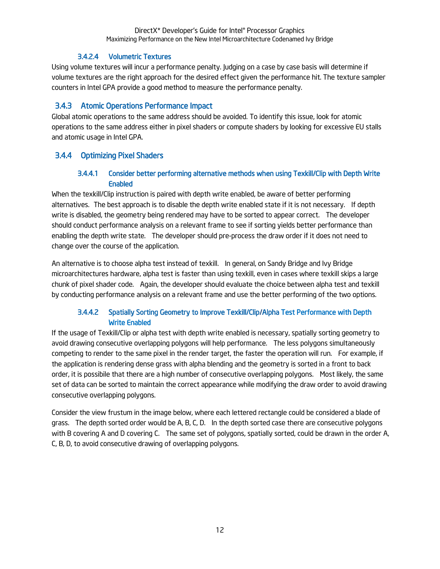#### 3.4.2.4 Volumetric Textures

Using volume textures will incur a performance penalty. Judging on a case by case basis will determine if volume textures are the right approach for the desired effect given the performance hit. The texture sampler counters in Intel GPA provide a good method to measure the performance penalty.

#### <span id="page-12-0"></span>3.4.3 Atomic Operations Performance Impact

Global atomic operations to the same address should be avoided. To identify this issue, look for atomic operations to the same address either in pixel shaders or compute shaders by looking for excessive EU stalls and atomic usage in Intel GPA.

#### <span id="page-12-1"></span>3.4.4 Optimizing Pixel Shaders

#### 3.4.4.1 Consider better performing alternative methods when using Texkill/Clip with Depth Write Enabled

When the texkill/Clip instruction is paired with depth write enabled, be aware of better performing alternatives. The best approach is to disable the depth write enabled state if it is not necessary. If depth write is disabled, the geometry being rendered may have to be sorted to appear correct. The developer should conduct performance analysis on a relevant frame to see if sorting yields better performance than enabling the depth write state. The developer should pre-process the draw order if it does not need to change over the course of the application.

An alternative is to choose alpha test instead of texkill. In general, on Sandy Bridge and Ivy Bridge microarchitectures hardware, alpha test is faster than using texkill, even in cases where texkill skips a large chunk of pixel shader code. Again, the developer should evaluate the choice between alpha test and texkill by conducting performance analysis on a relevant frame and use the better performing of the two options.

#### 3.4.4.2 Spatially Sorting Geometry to Improve Texkill/Clip/Alpha Test Performance with Depth Write Enabled

If the usage of Texkill/Clip or alpha test with depth write enabled is necessary, spatially sorting geometry to avoid drawing consecutive overlapping polygons will help performance. The less polygons simultaneously competing to render to the same pixel in the render target, the faster the operation will run. For example, if the application is rendering dense grass with alpha blending and the geometry is sorted in a front to back order, it is possibile that there are a high number of consecutive overlapping polygons. Most likely, the same set of data can be sorted to maintain the correct appearance while modifying the draw order to avoid drawing consecutive overlapping polygons.

Consider the view frustum in the image below, where each lettered rectangle could be considered a blade of grass. The depth sorted order would be A, B, C, D. In the depth sorted case there are consecutive polygons with B covering A and D covering C. The same set of polygons, spatially sorted, could be drawn in the order A, C, B, D, to avoid consecutive drawing of overlapping polygons.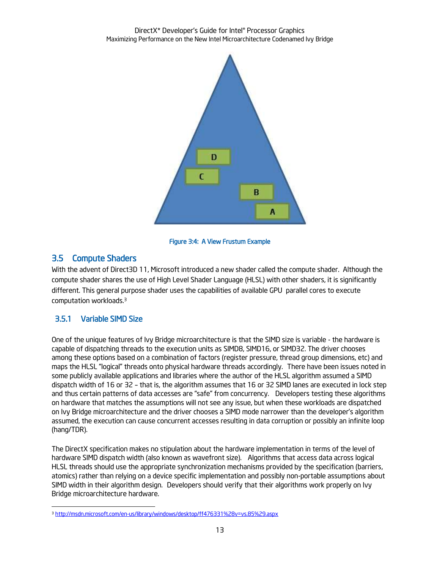DirectX\* Developer's Guide for Intel® Processor Graphics Maximizing Performance on the New Intel Microarchitecture Codenamed Ivy Bridge



Figure 3:4: A View Frustum Example

# <span id="page-13-0"></span>3.5 Compute Shaders

With the advent of Direct3D 11, Microsoft introduced a new shader called the compute shader. Although the compute shader shares the use of High Level Shader Language (HLSL) with other shaders, it is significantly different. This general purpose shader uses the capabilities of available GPU parallel cores to execute computation workloads.<sup>3</sup>

#### <span id="page-13-1"></span>3.5.1 Variable SIMD Size

 $\overline{a}$ 

One of the unique features of Ivy Bridge microarchitecture is that the SIMD size is variable - the hardware is capable of dispatching threads to the execution units as SIMD8, SIMD16, or SIMD32. The driver chooses among these options based on a combination of factors (register pressure, thread group dimensions, etc) and maps the HLSL "logical" threads onto physical hardware threads accordingly. There have been issues noted in some publicly available applications and libraries where the author of the HLSL algorithm assumed a SIMD dispatch width of 16 or 32 – that is, the algorithm assumes that 16 or 32 SIMD lanes are executed in lock step and thus certain patterns of data accesses are "safe" from concurrency. Developers testing these algorithms on hardware that matches the assumptions will not see any issue, but when these workloads are dispatched on Ivy Bridge microarchitecture and the driver chooses a SIMD mode narrower than the developer's algorithm assumed, the execution can cause concurrent accesses resulting in data corruption or possibly an infinite loop (hang/TDR).

The DirectX specification makes no stipulation about the hardware implementation in terms of the level of hardware SIMD dispatch width (also known as wavefront size). Algorithms that access data across logical HLSL threads should use the appropriate synchronization mechanisms provided by the specification (barriers, atomics) rather than relying on a device specific implementation and possibly non-portable assumptions about SIMD width in their algorithm design. Developers should verify that their algorithms work properly on Ivy Bridge microarchitecture hardware.

<sup>3</sup> <http://msdn.microsoft.com/en-us/library/windows/desktop/ff476331%28v=vs.85%29.aspx>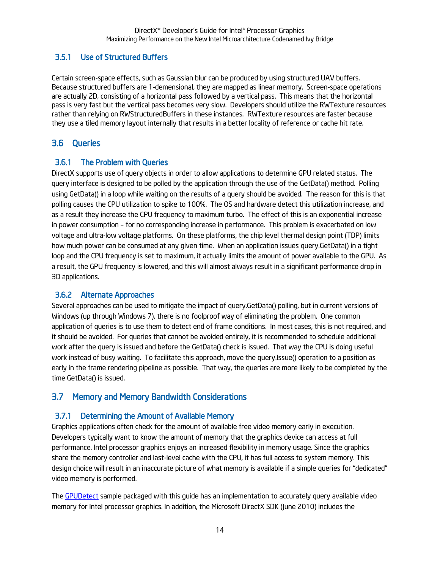# <span id="page-14-0"></span>3.5.1 Use of Structured Buffers

Certain screen-space effects, such as Gaussian blur can be produced by using structured UAV buffers. Because structured buffers are 1-demensional, they are mapped as linear memory. Screen-space operations are actually 2D, consisting of a horizontal pass followed by a vertical pass. This means that the horizontal pass is very fast but the vertical pass becomes very slow. Developers should utilize the RWTexture resources rather than relying on RWStructuredBuffers in these instances. RWTexture resources are faster because they use a tiled memory layout internally that results in a better locality of reference or cache hit rate.

# <span id="page-14-1"></span>3.6 Queries

#### <span id="page-14-2"></span>3.6.1 The Problem with Queries

DirectX supports use of query objects in order to allow applications to determine GPU related status. The query interface is designed to be polled by the application through the use of the GetData() method. Polling using GetData() in a loop while waiting on the results of a query should be avoided. The reason for this is that polling causes the CPU utilization to spike to 100%. The OS and hardware detect this utilization increase, and as a result they increase the CPU frequency to maximum turbo. The effect of this is an exponential increase in power consumption – for no corresponding increase in performance. This problem is exacerbated on low voltage and ultra-low voltage platforms. On these platforms, the chip level thermal design point (TDP) limits how much power can be consumed at any given time. When an application issues query.GetData() in a tight loop and the CPU frequency is set to maximum, it actually limits the amount of power available to the GPU. As a result, the GPU frequency is lowered, and this will almost always result in a significant performance drop in 3D applications.

#### <span id="page-14-3"></span>3.6.2 Alternate Approaches

Several approaches can be used to mitigate the impact of query.GetData() polling, but in current versions of Windows (up through Windows 7), there is no foolproof way of eliminating the problem. One common application of queries is to use them to detect end of frame conditions. In most cases, this is not required, and it should be avoided. For queries that cannot be avoided entirely, it is recommended to schedule additional work after the query is issued and before the GetData() check is issued. That way the CPU is doing useful work instead of busy waiting. To facilitate this approach, move the query.Issue() operation to a position as early in the frame rendering pipeline as possible. That way, the queries are more likely to be completed by the time GetData() is issued.

# <span id="page-14-4"></span>3.7 Memory and Memory Bandwidth Considerations

#### <span id="page-14-5"></span>3.7.1 Determining the Amount of Available Memory

Graphics applications often check for the amount of available free video memory early in execution. Developers typically want to know the amount of memory that the graphics device can access at full performance. Intel processor graphics enjoys an increased flexibility in memory usage. Since the graphics share the memory controller and last-level cache with the CPU, it has full access to system memory. This design choice will result in an inaccurate picture of what memory is available if a simple queries for "dedicated" video memory is performed.

The [GPUDetect](#page-18-2) sample packaged with this guide has an implementation to accurately query available video memory for Intel processor graphics. In addition, the Microsoft DirectX SDK (June 2010) includes the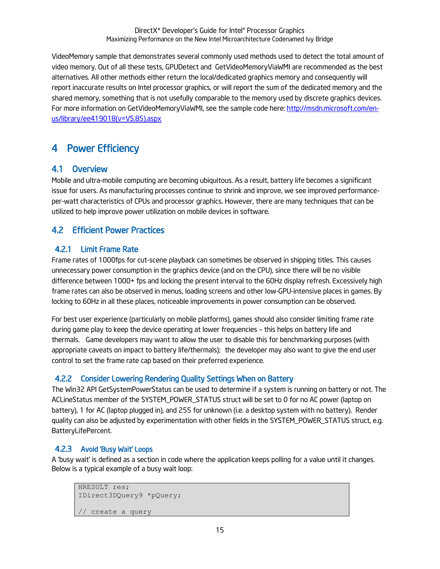VideoMemory sample that demonstrates several commonly used methods used to detect the total amount of video memory. Out of all these tests, GPUDetect and GetVideoMemoryViaWMI are recommended as the best alternatives. All other methods either return the local/dedicated graphics memory and consequently will report inaccurate results on Intel processor graphics, or will report the sum of the dedicated memory and the shared memory, something that is not usefully comparable to the memory used by discrete graphics devices. For more information on GetVideoMemoryViaWMI, see the sample code here: [http://msdn.microsoft.com/en](http://msdn.microsoft.com/en-us/library/ee419018(v=VS.85).aspx)[us/library/ee419018\(v=VS.85\).aspx](http://msdn.microsoft.com/en-us/library/ee419018(v=VS.85).aspx)

# <span id="page-15-0"></span>4 Power Efficiency

# <span id="page-15-1"></span>4.1 Overview

Mobile and ultra-mobile computing are becoming ubiquitous. As a result, battery life becomes a significant issue for users. As manufacturing processes continue to shrink and improve, we see improved performanceper-watt characteristics of CPUs and processor graphics. However, there are many techniques that can be utilized to help improve power utilization on mobile devices in software.

# <span id="page-15-2"></span>4.2 Efficient Power Practices

#### <span id="page-15-3"></span>4.2.1 Limit Frame Rate

Frame rates of 1000fps for cut-scene playback can sometimes be observed in shipping titles. This causes unnecessary power consumption in the graphics device (and on the CPU), since there will be no visible difference between 1000+ fps and locking the present interval to the 60Hz display refresh. Excessively high frame rates can also be observed in menus, loading screens and other low-GPU-intensive places in games. By locking to 60Hz in all these places, noticeable improvements in power consumption can be observed.

For best user experience (particularly on mobile platforms), games should also consider limiting frame rate during game play to keep the device operating at lower frequencies – this helps on battery life and thermals. Game developers may want to allow the user to disable this for benchmarking purposes (with appropriate caveats on impact to battery life/thermals); the developer may also want to give the end user control to set the frame rate cap based on their preferred experience.

#### <span id="page-15-4"></span>4.2.2 Consider Lowering Rendering Quality Settings When on Battery

The Win32 API GetSystemPowerStatus can be used to determine if a system is running on battery or not. The ACLineStatus member of the SYSTEM\_POWER\_STATUS struct will be set to 0 for no AC power (laptop on battery), 1 for AC (laptop plugged in), and 255 for unknown (i.e. a desktop system with no battery). Render quality can also be adjusted by experimentation with other fields in the SYSTEM\_POWER\_STATUS struct, e.g. BatteryLifePercent.

#### <span id="page-15-5"></span>4.2.3 Avoid 'Busy Wait' Loops

A 'busy wait' is defined as a section in code where the application keeps polling for a value until it changes. Below is a typical example of a busy wait loop:

```
HRESULT res;
IDirect3DQuery9 *pQuery;
// create a query
```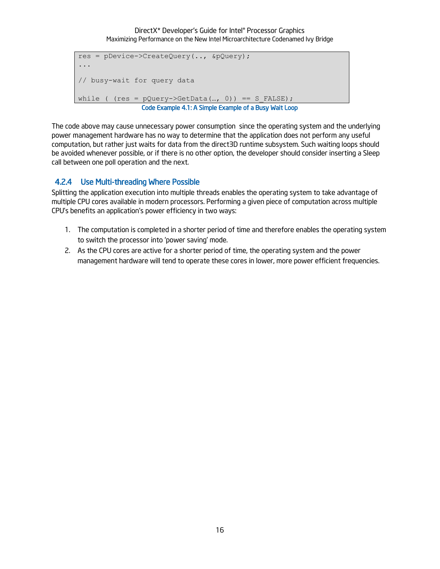```
res = pDevice->CreateQuery(.., &pQuery);
...
// busy-wait for query data
while ( (res = pQuery->GetData(..., 0)) == S_FALSE);Code Example 4.1: A Simple Example of a Busy Wait Loop
```
The code above may cause unnecessary power consumption since the operating system and the underlying power management hardware has no way to determine that the application does not perform any useful computation, but rather just waits for data from the direct3D runtime subsystem. Such waiting loops should be avoided whenever possible, or if there is no other option, the developer should consider inserting a Sleep call between one poll operation and the next.

#### <span id="page-16-0"></span>4.2.4 Use Multi-threading Where Possible

Splitting the application execution into multiple threads enables the operating system to take advantage of multiple CPU cores available in modern processors. Performing a given piece of computation across multiple CPU's benefits an application's power efficiency in two ways:

- 1. The computation is completed in a shorter period of time and therefore enables the operating system to switch the processor into 'power saving' mode.
- 2. As the CPU cores are active for a shorter period of time, the operating system and the power management hardware will tend to operate these cores in lower, more power efficient frequencies.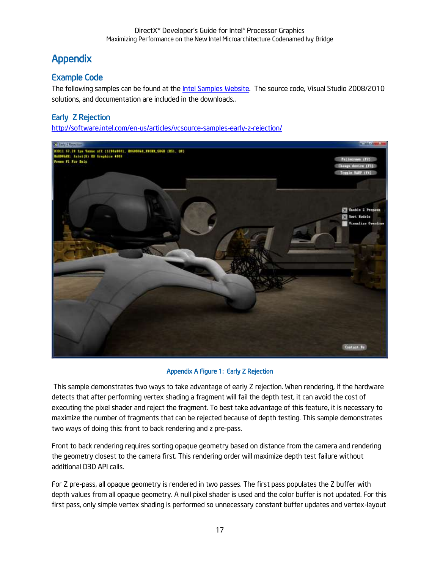# Appendix

# <span id="page-17-0"></span>Example Code

The following samples can be found at the *Intel Samples Website*. The source code, Visual Studio 2008/2010 solutions, and documentation are included in the downloads..

# <span id="page-17-1"></span>Early Z Rejection

<http://software.intel.com/en-us/articles/vcsource-samples-early-z-rejection/>



Appendix A Figure 1: Early Z Rejection

This sample demonstrates two ways to take advantage of early Z rejection. When rendering, if the hardware detects that after performing vertex shading a fragment will fail the depth test, it can avoid the cost of executing the pixel shader and reject the fragment. To best take advantage of this feature, it is necessary to maximize the number of fragments that can be rejected because of depth testing. This sample demonstrates two ways of doing this: front to back rendering and z pre-pass.

Front to back rendering requires sorting opaque geometry based on distance from the camera and rendering the geometry closest to the camera first. This rendering order will maximize depth test failure without additional D3D API calls.

For Z pre-pass, all opaque geometry is rendered in two passes. The first pass populates the Z buffer with depth values from all opaque geometry. A null pixel shader is used and the color buffer is not updated. For this first pass, only simple vertex shading is performed so unnecessary constant buffer updates and vertex-layout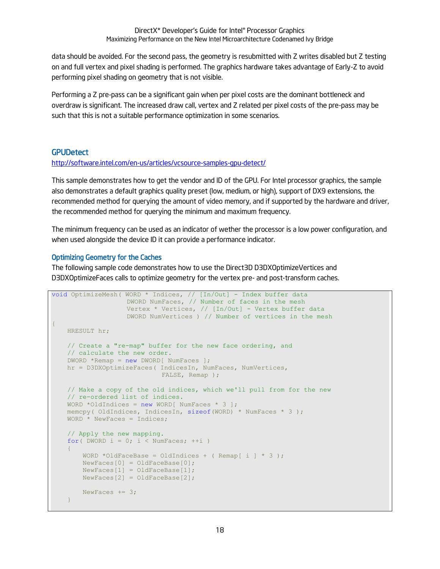data should be avoided. For the second pass, the geometry is resubmitted with Z writes disabled but Z testing on and full vertex and pixel shading is performed. The graphics hardware takes advantage of Early-Z to avoid performing pixel shading on geometry that is not visible.

Performing a Z pre-pass can be a significant gain when per pixel costs are the dominant bottleneck and overdraw is significant. The increased draw call, vertex and Z related per pixel costs of the pre-pass may be such that this is not a suitable performance optimization in some scenarios.

#### <span id="page-18-2"></span><span id="page-18-0"></span>**GPUDetect**

<http://software.intel.com/en-us/articles/vcsource-samples-gpu-detect/>

This sample demonstrates how to get the vendor and ID of the GPU. For Intel processor graphics, the sample also demonstrates a default graphics quality preset (low, medium, or high), support of DX9 extensions, the recommended method for querying the amount of video memory, and if supported by the hardware and driver, the recommended method for querying the minimum and maximum frequency.

The minimum frequency can be used as an indicator of wether the processor is a low power configuration, and when used alongside the device ID it can provide a performance indicator.

#### <span id="page-18-1"></span>Optimizing Geometry for the Caches

The following sample code demonstrates how to use the Direct3D D3DXOptimizeVertices and D3DXOptimizeFaces calls to optimize geometry for the vertex pre- and post-transform caches.

```
void OptimizeMesh( WORD * Indices, // [In/Out] - Index buffer data
                    DWORD NumFaces, // Number of faces in the mesh
                   Vertex * Vertices, // [In/Out] - Vertex buffer data
                    DWORD NumVertices ) // Number of vertices in the mesh
{
    HRESULT hr;
    // Create a "re-map" buffer for the new face ordering, and 
    // calculate the new order.
    DWORD *Remap = new DWORD[ NumFaces ];
    hr = D3DXOptimizeFaces( IndicesIn, NumFaces, NumVertices, 
                             FALSE, Remap );
    // Make a copy of the old indices, which we'll pull from for the new
    // re-ordered list of indices.
   WORD *OldIndices = new WORD[ NumFaces * 3 ];
   memcpy( OldIndices, IndicesIn, sizeof(WORD) * NumFaces * 3 );
   WORD * NewFaces = Indices;
    // Apply the new mapping.
   for ( DWORD i = 0; i < NumFaces; ++i )
    {
       WORD *OldFaceBase = OldIndices + ( Remap [ i ] * 3 );
       NewFaces[0] = OldFaceBase[0];NewFaces[1] = OldFaceBase[1];NewFaces[2] = OldFaceBase[2];NewFaces += 3; }
```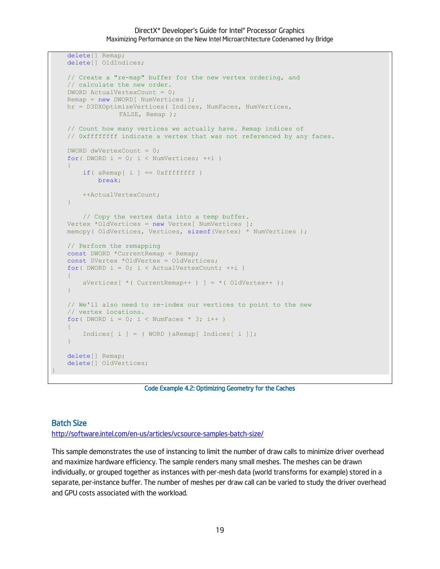DirectX\* Developer's Guide for Intel® Processor Graphics Maximizing Performance on the New Intel Microarchitecture Codenamed Ivy Bridge

```
 delete[] Remap;
    delete[] OldIndices;
    // Create a "re-map" buffer for the new vertex ordering, and 
     // calculate the new order.
    DWORD ActualVertexCount = 0;
   Remap = new DWORD[ NumVertices ];
    hr = D3DXOptimizeVertices( Indices, NumFaces, NumVertices, 
                  FALSE, Remap );
     // Count how many vertices we actually have. Remap indices of 
     // 0xffffffff indicate a vertex that was not referenced by any faces.
     DWORD dwVertexCount = 0;
    for( DWORD i = 0; i < NumVertices; ++i )
     {
        if( aRemap[ i ] == 0xfffffff] ) break;
         ++ActualVertexCount;
    }
        // Copy the vertex data into a temp buffer.
    Vertex *OldVertices = new Vertex[ NumVertices ];
   memcpy( OldVertices, Vertices, sizeof(Vertex) * NumVertices);
    // Perform the remapping
    const DWORD *CurrentRemap = Remap;
    const SVertex *OldVertex = OldVertices;
    for( DWORD i = 0; i < ActualVertexCount; ++i )
\left\{\begin{array}{ccc} 1 & 1 \\ 1 & 1 \end{array}\right\}aVertices [ * ( CurrentRemark + ) ] = * ( OldVertex++ );
     }
     // We'll also need to re-index our vertices to point to the new 
     // vertex locations.
   for( DWORD i = 0; i < NumFaces * 3; i++ )
     {
        Indices [i] = (WORD) aRemap [Indices[i]]; }
     delete[] Remap;
     delete[] OldVertices;
```
Code Example 4.2: Optimizing Geometry for the Caches

#### <span id="page-19-0"></span>Batch Size

}

<http://software.intel.com/en-us/articles/vcsource-samples-batch-size/>

This sample demonstrates the use of instancing to limit the number of draw calls to minimize driver overhead and maximize hardware efficiency. The sample renders many small meshes. The meshes can be drawn individually, or grouped together as instances with per-mesh data (world transforms for example) stored in a separate, per-instance buffer. The number of meshes per draw call can be varied to study the driver overhead and GPU costs associated with the workload.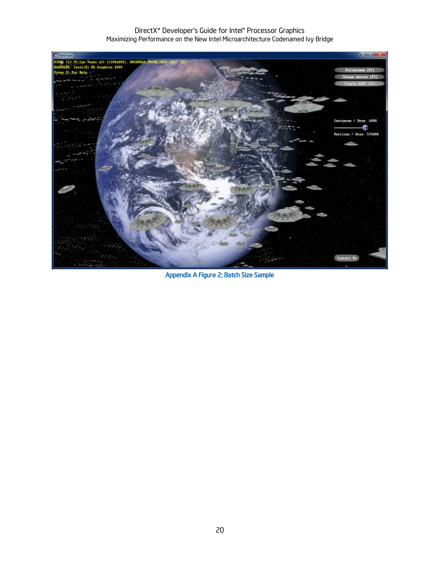DirectX\* Developer's Guide for Intel® Processor Graphics Maximizing Performance on the New Intel Microarchitecture Codenamed Ivy Bridge



Appendix A Figure 2: Batch Size Sample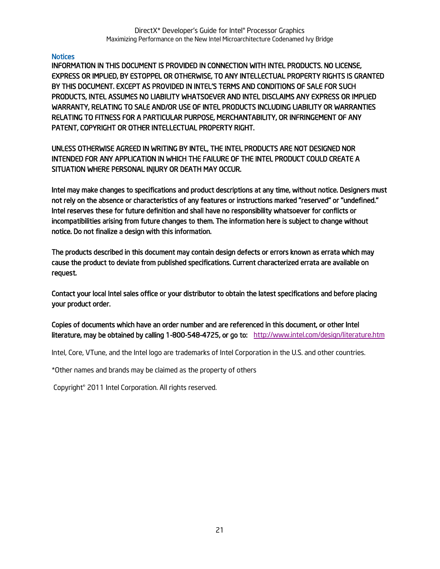#### **Notices**

INFORMATION IN THIS DOCUMENT IS PROVIDED IN CONNECTION WITH INTEL PRODUCTS. NO LICENSE, EXPRESS OR IMPLIED, BY ESTOPPEL OR OTHERWISE, TO ANY INTELLECTUAL PROPERTY RIGHTS IS GRANTED BY THIS DOCUMENT. EXCEPT AS PROVIDED IN INTEL'S TERMS AND CONDITIONS OF SALE FOR SUCH PRODUCTS, INTEL ASSUMES NO LIABILITY WHATSOEVER AND INTEL DISCLAIMS ANY EXPRESS OR IMPLIED WARRANTY, RELATING TO SALE AND/OR USE OF INTEL PRODUCTS INCLUDING LIABILITY OR WARRANTIES RELATING TO FITNESS FOR A PARTICULAR PURPOSE, MERCHANTABILITY, OR INFRINGEMENT OF ANY PATENT, COPYRIGHT OR OTHER INTELLECTUAL PROPERTY RIGHT.

UNLESS OTHERWISE AGREED IN WRITING BY INTEL, THE INTEL PRODUCTS ARE NOT DESIGNED NOR INTENDED FORANYAPPLICATION IN WHICH THE FAILURE OF THE INTEL PRODUCT COULD CREATE A SITUATION WHERE PERSONAL INJURY OR DEATH MAY OCCUR.

Intel may make changes to specifications and product descriptions at any time, without notice. Designers must not rely on the absence or characteristics of any features or instructions marked "reserved" or "undefined." Intel reserves these for future definition and shall have no responsibility whatsoever for conflicts or incompatibilities arising from future changes to them. The information here is subject to change without notice. Do not finalize a design with this information.

The products described in this document may contain design defects or errors known as errata which may cause the product to deviate from published specifications. Current characterized errata are available on request.

Contact your local Intel sales office or your distributor to obtain the latest specifications and before placing your product order.

Copies of documents which have an order number and are referenced in this document, or other Intel literature, may be obtained by calling 1-800-548-4725, or go to: <http://www.intel.com/design/literature.htm>

Intel, Core, VTune, and the Intel logo are trademarks of Intel Corporation in the U.S. and other countries.

\*Other names and brands may be claimed as the property of others

Copyright© 2011 Intel Corporation. All rights reserved.